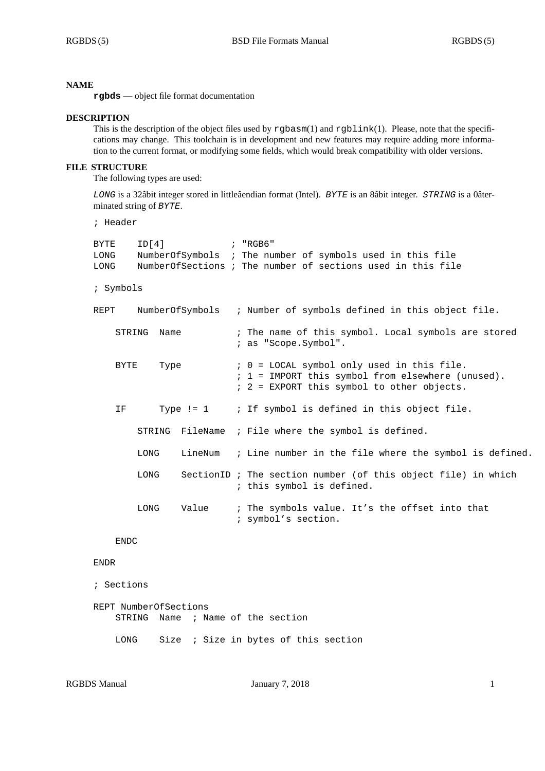#### **NAME**

**rgbds** — object file format documentation

#### **DESCRIPTION**

This is the description of the object files used by rgbasm(1) and rgblink(1). Please, note that the specifications may change. This toolchain is in development and new features may require adding more information to the current format, or modifying some fields, which would break compatibility with older versions.

## **FILE STRUCTURE**

The following types are used:

*LONG* is a 32âbit integer stored in littleâendian format (Intel). *BYTE* is an 8âbit integer. *STRING* is a 0âterminated string of *BYTE*.

```
; Header
```

| ID[4]<br>BYTE<br>LONG<br>LONG |      | NumberOfSymbols ; The number of symbols used in this file<br>NumberOfSections ; The number of sections used in this file                        |                                                                                            |
|-------------------------------|------|-------------------------------------------------------------------------------------------------------------------------------------------------|--------------------------------------------------------------------------------------------|
| ; Symbols                     |      |                                                                                                                                                 |                                                                                            |
| NumberOfSymbols<br>REPT       |      |                                                                                                                                                 | ; Number of symbols defined in this object file.                                           |
| Name<br>STRING                |      | ; The name of this symbol. Local symbols are stored<br>; as "Scope.Symbol".                                                                     |                                                                                            |
| BYTE<br>Type                  |      | ; 0 = LOCAL symbol only used in this file.<br>; 1 = IMPORT this symbol from elsewhere (unused).<br>$: 2 = EXPORT$ this symbol to other objects. |                                                                                            |
| IF.                           |      |                                                                                                                                                 | Type != $1$ ; If symbol is defined in this object file.                                    |
|                               |      |                                                                                                                                                 | STRING FileName ; File where the symbol is defined.                                        |
|                               | LONG |                                                                                                                                                 | LineNum ; Line number in the file where the symbol is defined.                             |
|                               | LONG |                                                                                                                                                 | SectionID ; The section number (of this object file) in which<br>; this symbol is defined. |
|                               | LONG | Value                                                                                                                                           | ; The symbols value. It's the offset into that<br>; symbol's section.                      |

## ENDC

#### ENDR

```
; Sections
```

```
REPT NumberOfSections
STRING Name ; Name of the section
LONG Size ; Size in bytes of this section
```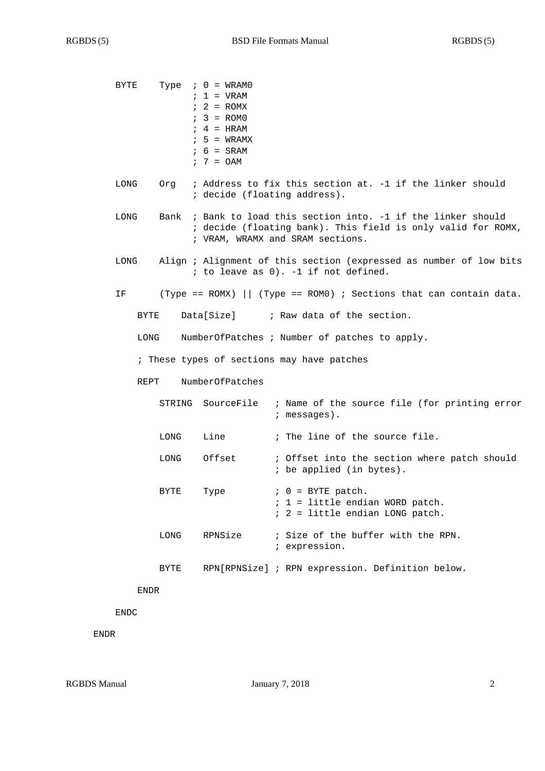| BYTE                                       |      | Type $: 0 = WRAM0$<br>$1 = VRAM$<br>$: 2 = ROMX$<br>$: 3 = ROMO$<br>$: 4 = HRAM$<br>$: 5 = WRAMX$<br>$6 = SRAM$<br>$7 = OAM$                                       |                                                                                           |  |  |  |  |
|--------------------------------------------|------|--------------------------------------------------------------------------------------------------------------------------------------------------------------------|-------------------------------------------------------------------------------------------|--|--|--|--|
| LONG                                       | Orq  | ; Address to fix this section at. -1 if the linker should<br>; decide (floating address).                                                                          |                                                                                           |  |  |  |  |
| LONG                                       |      | Bank ; Bank to load this section into. -1 if the linker should<br>; decide (floating bank). This field is only valid for ROMX,<br>; VRAM, WRAMX and SRAM sections. |                                                                                           |  |  |  |  |
| LONG                                       |      | Align ; Alignment of this section (expressed as number of low bits<br>; to leave as 0). -1 if not defined.                                                         |                                                                                           |  |  |  |  |
| ΙF                                         |      |                                                                                                                                                                    | (Type == ROMX) $ $ (Type == ROM0) ; Sections that can contain data.                       |  |  |  |  |
| BYTE                                       |      | Data[Size]                                                                                                                                                         | ; Raw data of the section.                                                                |  |  |  |  |
| LONG                                       |      |                                                                                                                                                                    | NumberOfPatches ; Number of patches to apply.                                             |  |  |  |  |
| ; These types of sections may have patches |      |                                                                                                                                                                    |                                                                                           |  |  |  |  |
| NumberOfPatches<br>REPT                    |      |                                                                                                                                                                    |                                                                                           |  |  |  |  |
|                                            |      | STRING SourceFile                                                                                                                                                  | ; Name of the source file (for printing error<br>$:$ messages).                           |  |  |  |  |
|                                            | LONG | Line                                                                                                                                                               | ; The line of the source file.                                                            |  |  |  |  |
|                                            | LONG | Offset                                                                                                                                                             | ; Offset into the section where patch should<br>; be applied (in bytes).                  |  |  |  |  |
|                                            | BYTE | Type                                                                                                                                                               | $0 = BYTE$ patch.<br>$: 1 =$ little endian WORD patch.<br>; 2 = little endian LONG patch. |  |  |  |  |
|                                            | LONG | RPNSize                                                                                                                                                            | ; Size of the buffer with the RPN.<br>; expression.                                       |  |  |  |  |
|                                            | BYTE |                                                                                                                                                                    | RPN[RPNSize] ; RPN expression. Definition below.                                          |  |  |  |  |
| ENDR                                       |      |                                                                                                                                                                    |                                                                                           |  |  |  |  |

ENDC

ENDR